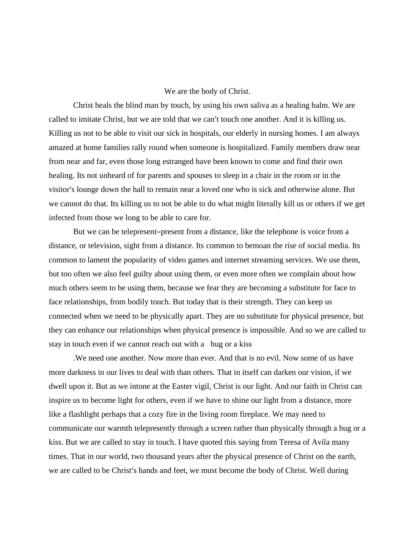## We are the body of Christ.

Christ heals the blind man by touch, by using his own saliva as a healing balm. We are called to imitate Christ, but we are told that we can't touch one another. And it is killing us. Killing us not to be able to visit our sick in hospitals, our elderly in nursing homes. I am always amazed at home families rally round when someone is hospitalized. Family members draw near from near and far, even those long estranged have been known to come and find their own healing. Its not unheard of for parents and spouses to sleep in a chair in the room or in the visitor's lounge down the hall to remain near a loved one who is sick and otherwise alone. But we cannot do that. Its killing us to not be able to do what might literally kill us or others if we get infected from those we long to be able to care for.

But we can be telepresent-present from a distance, like the telephone is voice from a distance, or television, sight from a distance. Its common to bemoan the rise of social media. Its common to lament the popularity of video games and internet streaming services. We use them, but too often we also feel guilty about using them, or even more often we complain about how much others seem to be using them, because we fear they are becoming a substitute for face to face relationships, from bodily touch. But today that is their strength. They can keep us connected when we need to be physically apart. They are no substitute for physical presence, but they can enhance our relationships when physical presence is impossible. And so we are called to stay in touch even if we cannot reach out with a hug or a kiss

.We need one another. Now more than ever. And that is no evil. Now some of us have more darkness in our lives to deal with than others. That in itself can darken our vision, if we dwell upon it. But as we intone at the Easter vigil, Christ is our light. And our faith in Christ can inspire us to become light for others, even if we have to shine our light from a distance, more like a flashlight perhaps that a cozy fire in the living room fireplace. We may need to communicate our warmth telepresently through a screen rather than physically through a hug or a kiss. But we are called to stay in touch. I have quoted this saying from Teresa of Avila many times. That in our world, two thousand years after the physical presence of Christ on the earth, we are called to be Christ's hands and feet, we must become the body of Christ. Well during